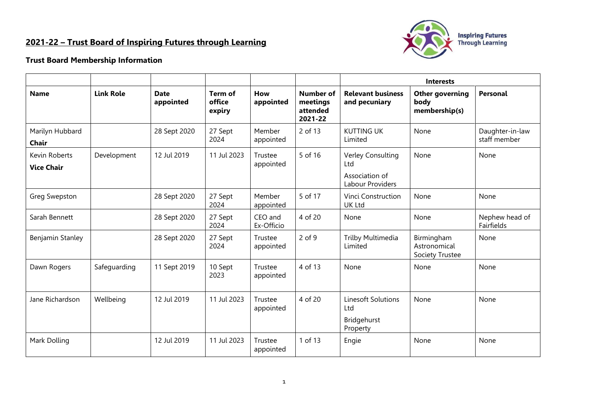## **2021-22 – Trust Board of Inspiring Futures through Learning**



## **Trust Board Membership Information**

|                                    |                  |                          |                                    |                       |                                              | <b>Interests</b>                                               |                                               |                                 |
|------------------------------------|------------------|--------------------------|------------------------------------|-----------------------|----------------------------------------------|----------------------------------------------------------------|-----------------------------------------------|---------------------------------|
| <b>Name</b>                        | <b>Link Role</b> | <b>Date</b><br>appointed | <b>Term of</b><br>office<br>expiry | How<br>appointed      | Number of<br>meetings<br>attended<br>2021-22 | <b>Relevant business</b><br>and pecuniary                      | Other governing<br>body<br>membership(s)      | Personal                        |
| Marilyn Hubbard<br>Chair           |                  | 28 Sept 2020             | 27 Sept<br>2024                    | Member<br>appointed   | 2 of 13                                      | <b>KUTTING UK</b><br>Limited                                   | None                                          | Daughter-in-law<br>staff member |
| Kevin Roberts<br><b>Vice Chair</b> | Development      | 12 Jul 2019              | 11 Jul 2023                        | Trustee<br>appointed  | 5 of 16                                      | Verley Consulting<br>Ltd<br>Association of<br>Labour Providers | None                                          | None                            |
| Greg Swepston                      |                  | 28 Sept 2020             | 27 Sept<br>2024                    | Member<br>appointed   | 5 of 17                                      | <b>Vinci Construction</b><br><b>UK Ltd</b>                     | None                                          | None                            |
| Sarah Bennett                      |                  | 28 Sept 2020             | 27 Sept<br>2024                    | CEO and<br>Ex-Officio | 4 of 20                                      | None                                                           | None                                          | Nephew head of<br>Fairfields    |
| Benjamin Stanley                   |                  | 28 Sept 2020             | 27 Sept<br>2024                    | Trustee<br>appointed  | $2$ of 9                                     | Trilby Multimedia<br>Limited                                   | Birmingham<br>Astronomical<br>Society Trustee | None                            |
| Dawn Rogers                        | Safeguarding     | 11 Sept 2019             | 10 Sept<br>2023                    | Trustee<br>appointed  | 4 of 13                                      | None                                                           | None                                          | None                            |
| Jane Richardson                    | Wellbeing        | 12 Jul 2019              | 11 Jul 2023                        | Trustee<br>appointed  | 4 of 20                                      | <b>Linesoft Solutions</b><br>Ltd<br>Bridgehurst<br>Property    | None                                          | None                            |
| Mark Dolling                       |                  | 12 Jul 2019              | 11 Jul 2023                        | Trustee<br>appointed  | 1 of 13                                      | Engie                                                          | None                                          | None                            |